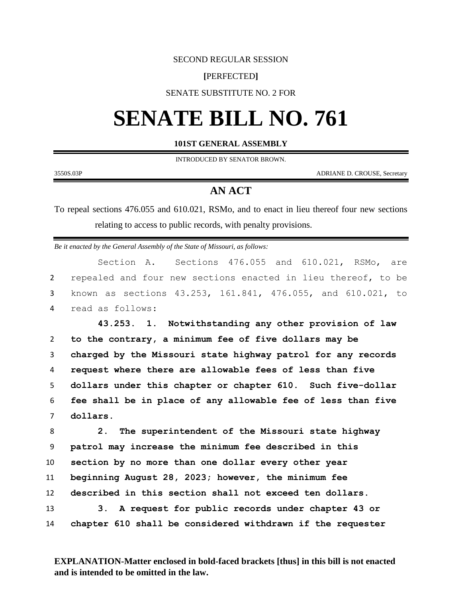### SECOND REGULAR SESSION

## **[**PERFECTED**]**

## SENATE SUBSTITUTE NO. 2 FOR

# **SENATE BILL NO. 761**

### **101ST GENERAL ASSEMBLY**

INTRODUCED BY SENATOR BROWN.

3550S.03P ADRIANE D. CROUSE, Secretary

# **AN ACT**

To repeal sections 476.055 and 610.021, RSMo, and to enact in lieu thereof four new sections relating to access to public records, with penalty provisions.

*Be it enacted by the General Assembly of the State of Missouri, as follows:*

Section A. Sections 476.055 and 610.021, RSMo, are repealed and four new sections enacted in lieu thereof, to be known as sections 43.253, 161.841, 476.055, and 610.021, to read as follows:

 **43.253. 1. Notwithstanding any other provision of law to the contrary, a minimum fee of five dollars may be charged by the Missouri state highway patrol for any records request where there are allowable fees of less than five dollars under this chapter or chapter 610. Such five-dollar fee shall be in place of any allowable fee of less than five**  7 **dollars.**

 **2. The superintendent of the Missouri state highway patrol may increase the minimum fee described in this section by no more than one dollar every other year beginning August 28, 2023; however, the minimum fee described in this section shall not exceed ten dollars. 3. A request for public records under chapter 43 or chapter 610 shall be considered withdrawn if the requester** 

**EXPLANATION-Matter enclosed in bold-faced brackets [thus] in this bill is not enacted and is intended to be omitted in the law.**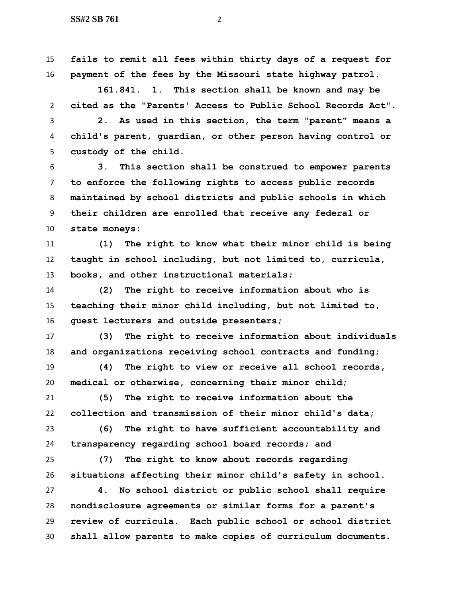**fails to remit all fees within thirty days of a request for payment of the fees by the Missouri state highway patrol.**

 **161.841. 1. This section shall be known and may be cited as the "Parents' Access to Public School Records Act".**

 **2. As used in this section, the term "parent" means a child's parent, guardian, or other person having control or custody of the child.**

 **3. This section shall be construed to empower parents to enforce the following rights to access public records maintained by school districts and public schools in which their children are enrolled that receive any federal or state moneys:**

 **(1) The right to know what their minor child is being taught in school including, but not limited to, curricula, books, and other instructional materials;**

 **(2) The right to receive information about who is teaching their minor child including, but not limited to, guest lecturers and outside presenters;**

 **(3) The right to receive information about individuals and organizations receiving school contracts and funding;**

 **(4) The right to view or receive all school records, medical or otherwise, concerning their minor child;**

 **(5) The right to receive information about the collection and transmission of their minor child's data;**

 **(6) The right to have sufficient accountability and transparency regarding school board records; and**

 **(7) The right to know about records regarding situations affecting their minor child's safety in school.**

 **4. No school district or public school shall require nondisclosure agreements or similar forms for a parent's review of curricula. Each public school or school district shall allow parents to make copies of curriculum documents.**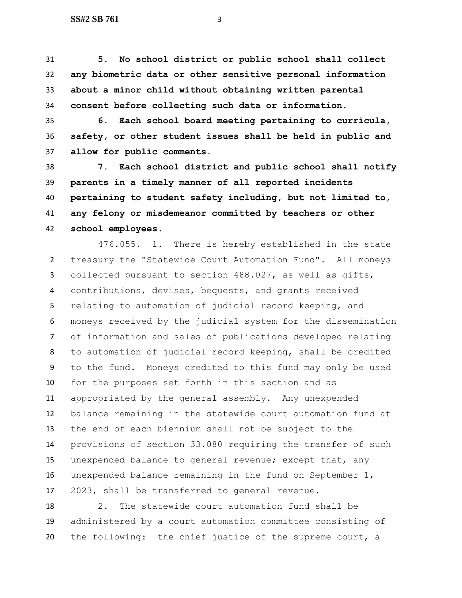**5. No school district or public school shall collect any biometric data or other sensitive personal information about a minor child without obtaining written parental consent before collecting such data or information.**

 **6. Each school board meeting pertaining to curricula, safety, or other student issues shall be held in public and allow for public comments.**

 **7. Each school district and public school shall notify parents in a timely manner of all reported incidents pertaining to student safety including, but not limited to, any felony or misdemeanor committed by teachers or other school employees.**

476.055. 1. There is hereby established in the state treasury the "Statewide Court Automation Fund". All moneys collected pursuant to section 488.027, as well as gifts, contributions, devises, bequests, and grants received relating to automation of judicial record keeping, and moneys received by the judicial system for the dissemination of information and sales of publications developed relating to automation of judicial record keeping, shall be credited to the fund. Moneys credited to this fund may only be used for the purposes set forth in this section and as appropriated by the general assembly. Any unexpended balance remaining in the statewide court automation fund at the end of each biennium shall not be subject to the provisions of section 33.080 requiring the transfer of such unexpended balance to general revenue; except that, any unexpended balance remaining in the fund on September 1, 2023, shall be transferred to general revenue.

 2. The statewide court automation fund shall be administered by a court automation committee consisting of the following: the chief justice of the supreme court, a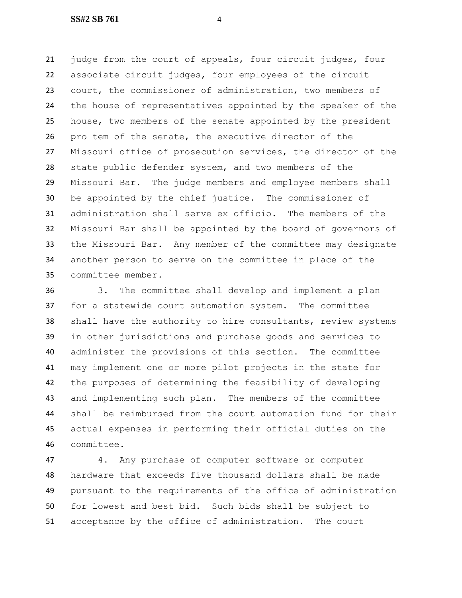judge from the court of appeals, four circuit judges, four associate circuit judges, four employees of the circuit court, the commissioner of administration, two members of the house of representatives appointed by the speaker of the house, two members of the senate appointed by the president pro tem of the senate, the executive director of the Missouri office of prosecution services, the director of the state public defender system, and two members of the Missouri Bar. The judge members and employee members shall be appointed by the chief justice. The commissioner of administration shall serve ex officio. The members of the Missouri Bar shall be appointed by the board of governors of the Missouri Bar. Any member of the committee may designate another person to serve on the committee in place of the committee member.

 3. The committee shall develop and implement a plan for a statewide court automation system. The committee shall have the authority to hire consultants, review systems in other jurisdictions and purchase goods and services to administer the provisions of this section. The committee may implement one or more pilot projects in the state for the purposes of determining the feasibility of developing and implementing such plan. The members of the committee shall be reimbursed from the court automation fund for their actual expenses in performing their official duties on the committee.

 4. Any purchase of computer software or computer hardware that exceeds five thousand dollars shall be made pursuant to the requirements of the office of administration for lowest and best bid. Such bids shall be subject to acceptance by the office of administration. The court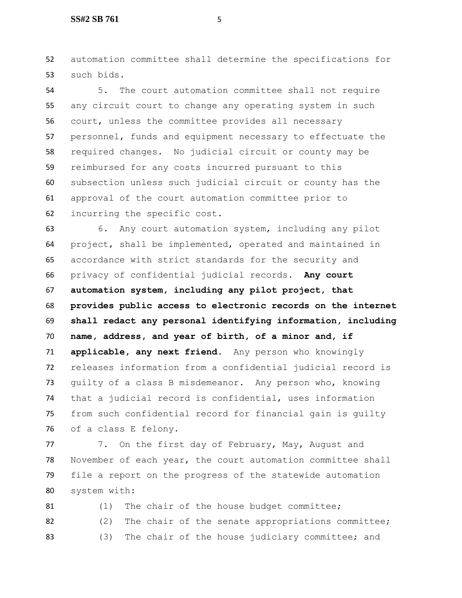automation committee shall determine the specifications for such bids.

 5. The court automation committee shall not require any circuit court to change any operating system in such court, unless the committee provides all necessary personnel, funds and equipment necessary to effectuate the required changes. No judicial circuit or county may be reimbursed for any costs incurred pursuant to this subsection unless such judicial circuit or county has the approval of the court automation committee prior to incurring the specific cost.

 6. Any court automation system, including any pilot project, shall be implemented, operated and maintained in accordance with strict standards for the security and privacy of confidential judicial records. **Any court automation system, including any pilot project, that provides public access to electronic records on the internet shall redact any personal identifying information, including name, address, and year of birth, of a minor and, if applicable, any next friend.** Any person who knowingly releases information from a confidential judicial record is guilty of a class B misdemeanor. Any person who, knowing that a judicial record is confidential, uses information from such confidential record for financial gain is guilty of a class E felony.

77 7. On the first day of February, May, August and November of each year, the court automation committee shall file a report on the progress of the statewide automation system with:

81 (1) The chair of the house budget committee; 82 (2) The chair of the senate appropriations committee; 83 (3) The chair of the house judiciary committee; and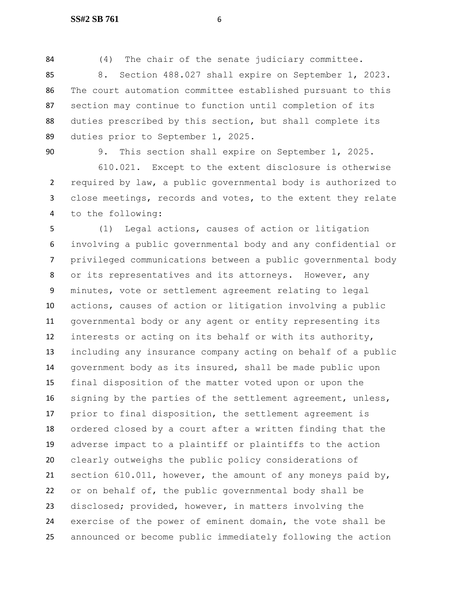(4) The chair of the senate judiciary committee.

 8. Section 488.027 shall expire on September 1, 2023. The court automation committee established pursuant to this section may continue to function until completion of its duties prescribed by this section, but shall complete its duties prior to September 1, 2025.

9. This section shall expire on September 1, 2025.

 610.021. Except to the extent disclosure is otherwise required by law, a public governmental body is authorized to close meetings, records and votes, to the extent they relate to the following:

 (1) Legal actions, causes of action or litigation involving a public governmental body and any confidential or privileged communications between a public governmental body or its representatives and its attorneys. However, any minutes, vote or settlement agreement relating to legal actions, causes of action or litigation involving a public governmental body or any agent or entity representing its interests or acting on its behalf or with its authority, including any insurance company acting on behalf of a public government body as its insured, shall be made public upon final disposition of the matter voted upon or upon the 16 signing by the parties of the settlement agreement, unless, prior to final disposition, the settlement agreement is ordered closed by a court after a written finding that the adverse impact to a plaintiff or plaintiffs to the action clearly outweighs the public policy considerations of section 610.011, however, the amount of any moneys paid by, or on behalf of, the public governmental body shall be disclosed; provided, however, in matters involving the exercise of the power of eminent domain, the vote shall be announced or become public immediately following the action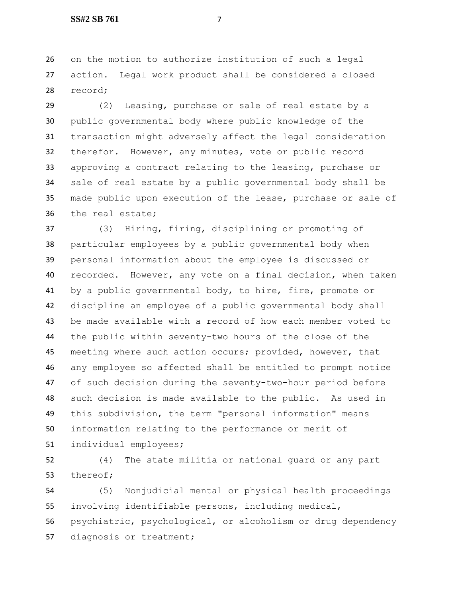on the motion to authorize institution of such a legal action. Legal work product shall be considered a closed record;

 (2) Leasing, purchase or sale of real estate by a public governmental body where public knowledge of the transaction might adversely affect the legal consideration therefor. However, any minutes, vote or public record approving a contract relating to the leasing, purchase or sale of real estate by a public governmental body shall be made public upon execution of the lease, purchase or sale of the real estate;

 (3) Hiring, firing, disciplining or promoting of particular employees by a public governmental body when personal information about the employee is discussed or recorded. However, any vote on a final decision, when taken by a public governmental body, to hire, fire, promote or discipline an employee of a public governmental body shall be made available with a record of how each member voted to the public within seventy-two hours of the close of the meeting where such action occurs; provided, however, that any employee so affected shall be entitled to prompt notice of such decision during the seventy-two-hour period before such decision is made available to the public. As used in this subdivision, the term "personal information" means information relating to the performance or merit of individual employees;

 (4) The state militia or national guard or any part thereof;

 (5) Nonjudicial mental or physical health proceedings involving identifiable persons, including medical, psychiatric, psychological, or alcoholism or drug dependency diagnosis or treatment;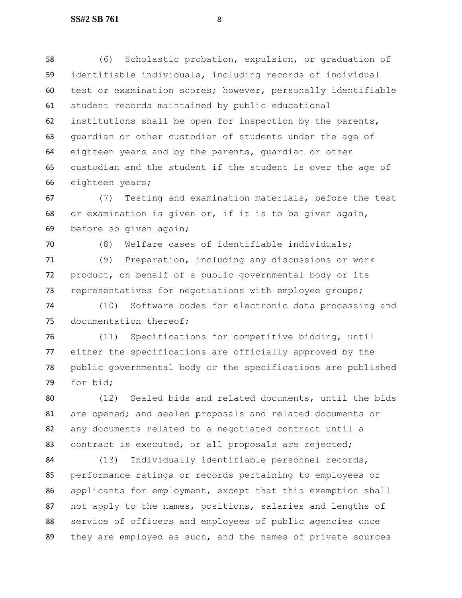(6) Scholastic probation, expulsion, or graduation of identifiable individuals, including records of individual test or examination scores; however, personally identifiable student records maintained by public educational institutions shall be open for inspection by the parents, guardian or other custodian of students under the age of eighteen years and by the parents, guardian or other custodian and the student if the student is over the age of eighteen years;

 (7) Testing and examination materials, before the test or examination is given or, if it is to be given again, before so given again;

 (8) Welfare cases of identifiable individuals; (9) Preparation, including any discussions or work product, on behalf of a public governmental body or its representatives for negotiations with employee groups;

 (10) Software codes for electronic data processing and 75 documentation thereof;

 (11) Specifications for competitive bidding, until either the specifications are officially approved by the public governmental body or the specifications are published for bid;

 (12) Sealed bids and related documents, until the bids are opened; and sealed proposals and related documents or any documents related to a negotiated contract until a contract is executed, or all proposals are rejected;

 (13) Individually identifiable personnel records, performance ratings or records pertaining to employees or applicants for employment, except that this exemption shall not apply to the names, positions, salaries and lengths of service of officers and employees of public agencies once they are employed as such, and the names of private sources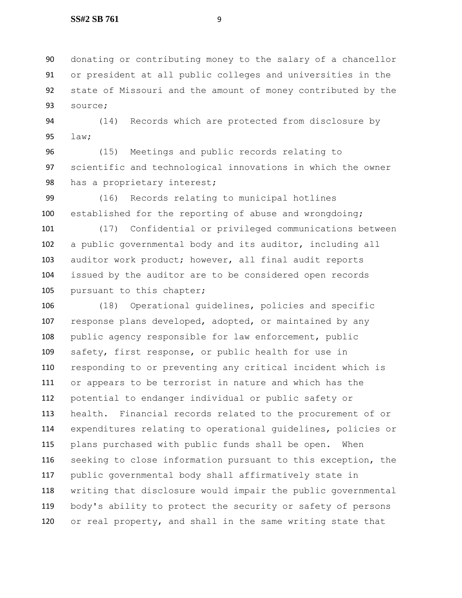donating or contributing money to the salary of a chancellor or president at all public colleges and universities in the state of Missouri and the amount of money contributed by the source;

 (14) Records which are protected from disclosure by law;

 (15) Meetings and public records relating to scientific and technological innovations in which the owner 98 has a proprietary interest;

 (16) Records relating to municipal hotlines established for the reporting of abuse and wrongdoing;

 (17) Confidential or privileged communications between a public governmental body and its auditor, including all auditor work product; however, all final audit reports issued by the auditor are to be considered open records 105 pursuant to this chapter;

 (18) Operational guidelines, policies and specific 107 response plans developed, adopted, or maintained by any public agency responsible for law enforcement, public safety, first response, or public health for use in responding to or preventing any critical incident which is or appears to be terrorist in nature and which has the potential to endanger individual or public safety or health. Financial records related to the procurement of or expenditures relating to operational guidelines, policies or plans purchased with public funds shall be open. When seeking to close information pursuant to this exception, the public governmental body shall affirmatively state in writing that disclosure would impair the public governmental body's ability to protect the security or safety of persons or real property, and shall in the same writing state that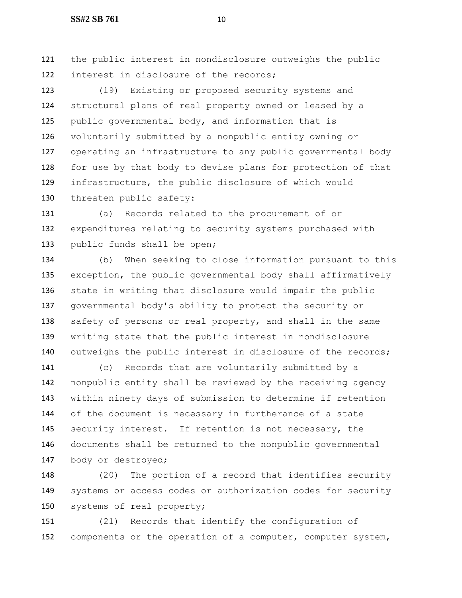the public interest in nondisclosure outweighs the public 122 interest in disclosure of the records;

 (19) Existing or proposed security systems and structural plans of real property owned or leased by a public governmental body, and information that is voluntarily submitted by a nonpublic entity owning or operating an infrastructure to any public governmental body for use by that body to devise plans for protection of that infrastructure, the public disclosure of which would threaten public safety:

 (a) Records related to the procurement of or expenditures relating to security systems purchased with public funds shall be open;

 (b) When seeking to close information pursuant to this exception, the public governmental body shall affirmatively state in writing that disclosure would impair the public governmental body's ability to protect the security or 138 safety of persons or real property, and shall in the same writing state that the public interest in nondisclosure 140 outweighs the public interest in disclosure of the records;

 (c) Records that are voluntarily submitted by a nonpublic entity shall be reviewed by the receiving agency within ninety days of submission to determine if retention of the document is necessary in furtherance of a state security interest. If retention is not necessary, the documents shall be returned to the nonpublic governmental body or destroyed;

 (20) The portion of a record that identifies security systems or access codes or authorization codes for security systems of real property;

 (21) Records that identify the configuration of components or the operation of a computer, computer system,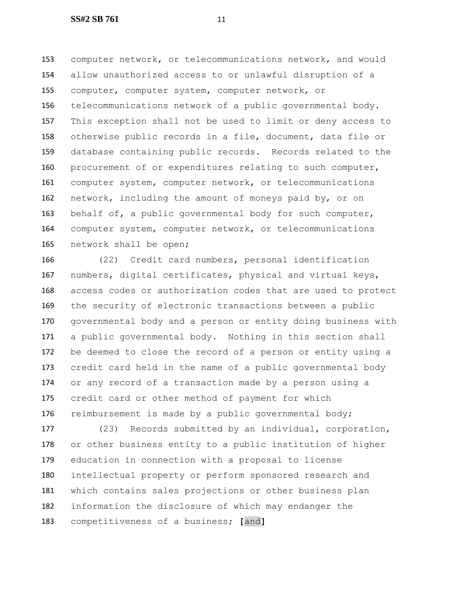computer network, or telecommunications network, and would allow unauthorized access to or unlawful disruption of a computer, computer system, computer network, or telecommunications network of a public governmental body. This exception shall not be used to limit or deny access to otherwise public records in a file, document, data file or database containing public records. Records related to the procurement of or expenditures relating to such computer, computer system, computer network, or telecommunications network, including the amount of moneys paid by, or on behalf of, a public governmental body for such computer, computer system, computer network, or telecommunications network shall be open;

 (22) Credit card numbers, personal identification numbers, digital certificates, physical and virtual keys, access codes or authorization codes that are used to protect the security of electronic transactions between a public governmental body and a person or entity doing business with a public governmental body. Nothing in this section shall be deemed to close the record of a person or entity using a credit card held in the name of a public governmental body or any record of a transaction made by a person using a credit card or other method of payment for which 176 reimbursement is made by a public governmental body;

 (23) Records submitted by an individual, corporation, or other business entity to a public institution of higher education in connection with a proposal to license intellectual property or perform sponsored research and which contains sales projections or other business plan information the disclosure of which may endanger the competitiveness of a business; **[**and**]**